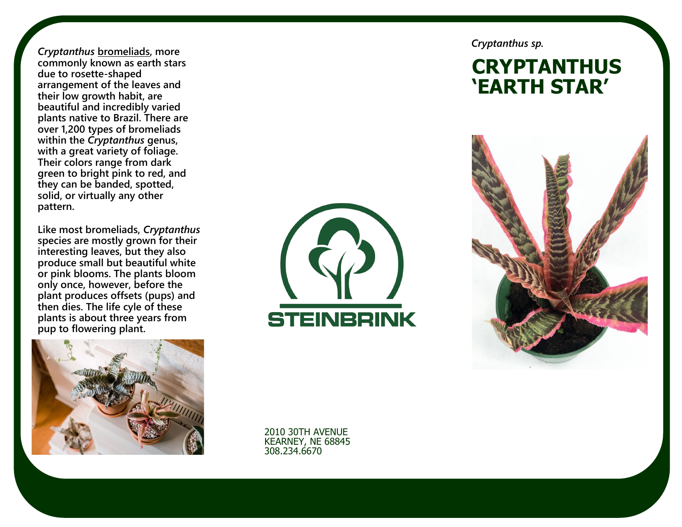*Cryptanthus* **[bromeliads,](https://www.thespruce.com/grow-bromeliads-indoors-1902667) more commonly known as earth stars due to rosette -shaped arrangement of the leaves and their low growth habit, are beautiful and incredibly varied plants native to Brazil. There are over 1,200 types of bromeliads within the** *Cryptanthus* **genus, with a great variety of foliage. Their colors range from dark green to bright pink to red, and they can be banded, spotted, solid, or virtually any other pattern.**

**Like most bromeliads,** *Cryptanthus* **species are mostly grown for their interesting leaves, but they also produce small but beautiful white or pink blooms. The plants bloom only once, however, before the plant produces offsets (pups) and then dies. The life cyle of these plants is about three years from pup to flowering plant.**





*Cryptanthus sp.*

# **CRYPTANTHUS 'EARTH STAR'**



2010 30TH AVENUE KEARNEY, NE 68845 308.234.6670